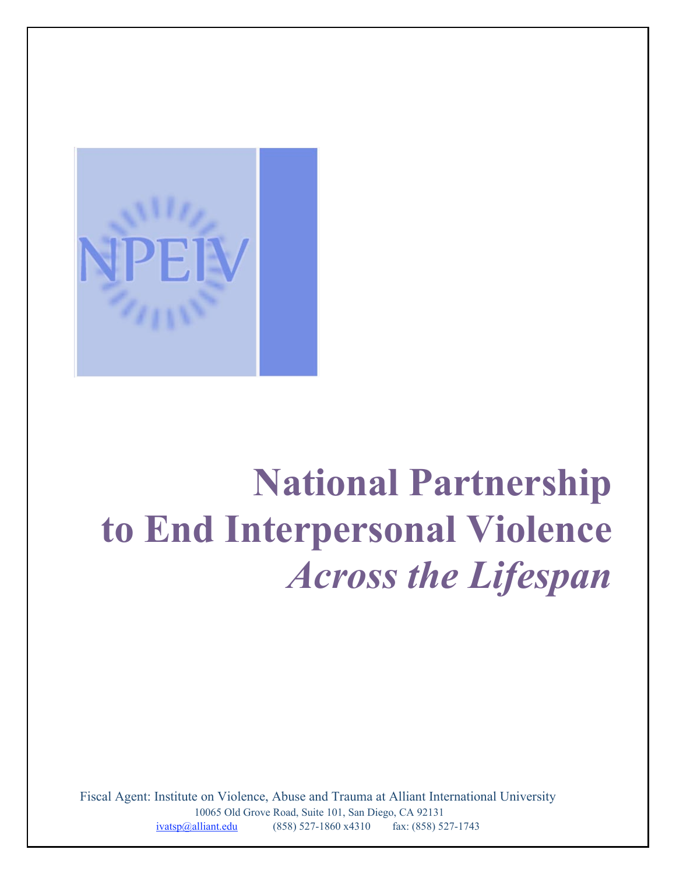

# **National Partnership to End Interpersonal Violence** *Across the Lifespan*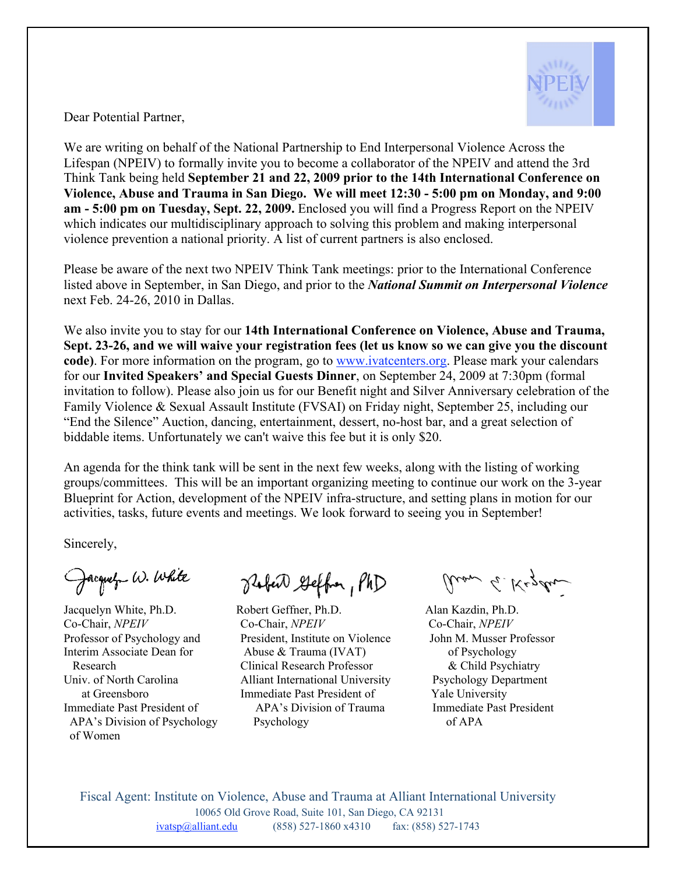

Dear Potential Partner,

We are writing on behalf of the National Partnership to End Interpersonal Violence Across the Lifespan (NPEIV) to formally invite you to become a collaborator of the NPEIV and attend the 3rd Think Tank being held **September 21 and 22, 2009 prior to the 14th International Conference on Violence, Abuse and Trauma in San Diego. We will meet 12:30 - 5:00 pm on Monday, and 9:00 am - 5:00 pm on Tuesday, Sept. 22, 2009.** Enclosed you will find a Progress Report on the NPEIV which indicates our multidisciplinary approach to solving this problem and making interpersonal violence prevention a national priority. A list of current partners is also enclosed.

Please be aware of the next two NPEIV Think Tank meetings: prior to the International Conference listed above in September, in San Diego, and prior to the *National Summit on Interpersonal Violence* next Feb. 24-26, 2010 in Dallas.

We also invite you to stay for our **14th International Conference on Violence, Abuse and Trauma, Sept. 23-26, and we will waive your registration fees (let us know so we can give you the discount code)**. For more information on the program, go to www.ivatcenters.org. Please mark your calendars for our **Invited Speakers' and Special Guests Dinner**, on September 24, 2009 at 7:30pm (formal invitation to follow). Please also join us for our Benefit night and Silver Anniversary celebration of the Family Violence & Sexual Assault Institute (FVSAI) on Friday night, September 25, including our "End the Silence" Auction, dancing, entertainment, dessert, no-host bar, and a great selection of biddable items. Unfortunately we can't waive this fee but it is only \$20.

An agenda for the think tank will be sent in the next few weeks, along with the listing of working groups/committees. This will be an important organizing meeting to continue our work on the 3-year Blueprint for Action, development of the NPEIV infra-structure, and setting plans in motion for our activities, tasks, future events and meetings. We look forward to seeing you in September!

Sincerely,

Jacquely W. White

of Women

Raber Geffor, PhD

Jacquelyn White, Ph.D. Robert Geffner, Ph.D. Alan Kazdin, Ph.D. Co-Chair, *NPEIV* Co-Chair, *NPEIV* Co-Chair, *NPEIV* Professor of Psychology and President, Institute on Violence John M. Musser Professor Interim Associate Dean for Abuse & Trauma (IVAT) of Psychology Research Clinical Research Professor & Child Psychiatry Univ. of North Carolina Alliant International University Psychology Department at Greensboro Immediate Past President of Yale University Immediate Past President of APA's Division of Trauma Immediate Past President APA's Division of Psychology Psychology of APA

aron G. Kezdu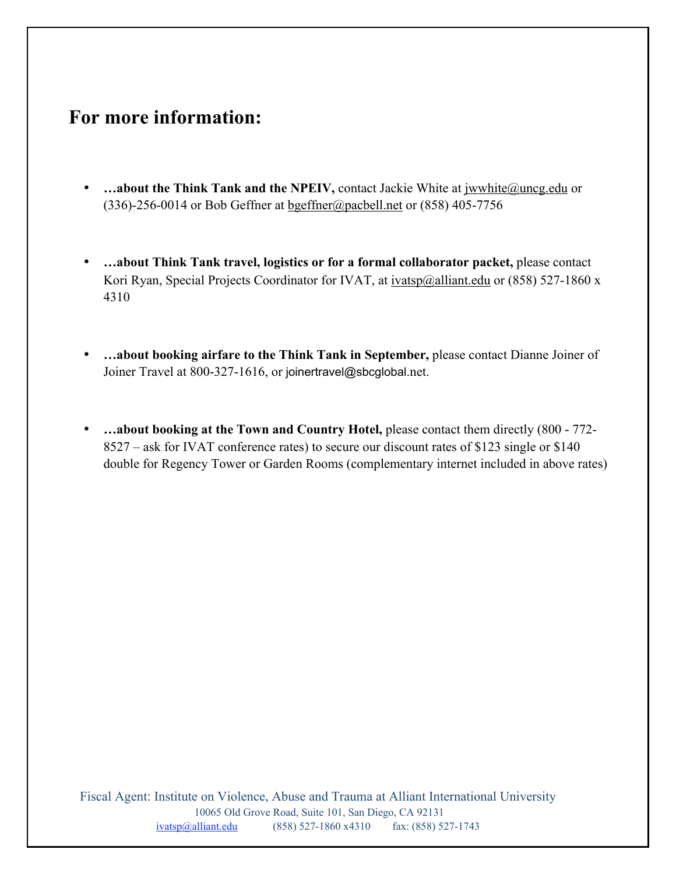## **For more information:**

- **…about the Think Tank and the NPEIV, contact Jackie White at jwwhite@uncg.edu or** (336)-256-0014 or Bob Geffner at  $b$ geffner@pacbell.net or (858) 405-7756
- **…about Think Tank travel, logistics or for a formal collaborator packet,** please contact Kori Ryan, Special Projects Coordinator for IVAT, at ivatsp@alliant.edu or (858) 527-1860 x 4310
- **…about booking airfare to the Think Tank in September,** please contact Dianne Joiner of Joiner Travel at 800-327-1616, or joinertravel@sbcglobal.net.
- ...about booking at the Town and Country Hotel, please contact them directly (800 772-8527 – ask for IVAT conference rates) to secure our discount rates of \$123 single or \$140 double for Regency Tower or Garden Rooms (complementary internet included in above rates)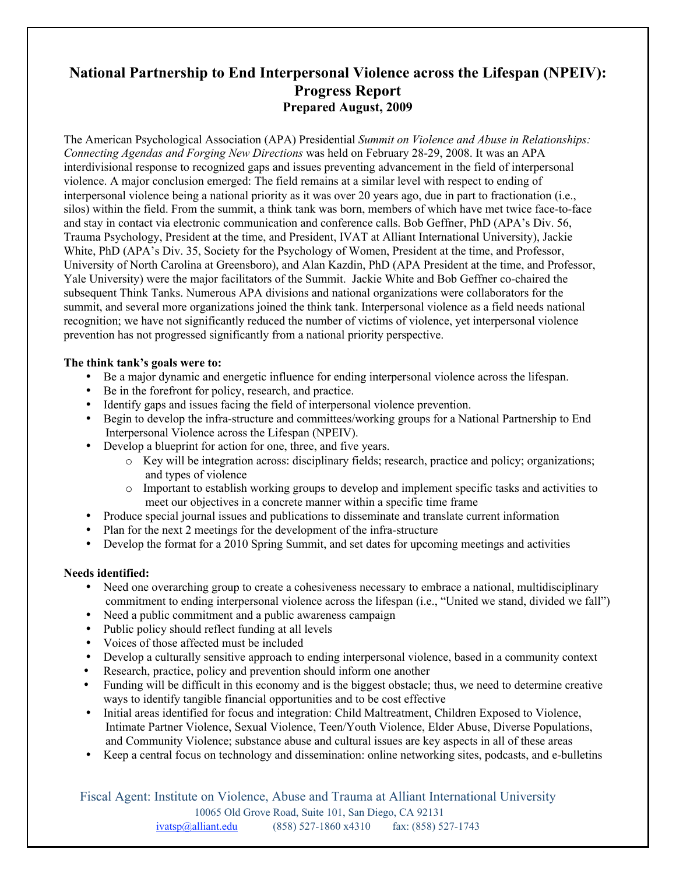### **National Partnership to End Interpersonal Violence across the Lifespan (NPEIV): Progress Report Prepared August, 2009**

The American Psychological Association (APA) Presidential *Summit on Violence and Abuse in Relationships: Connecting Agendas and Forging New Directions* was held on February 28-29, 2008. It was an APA interdivisional response to recognized gaps and issues preventing advancement in the field of interpersonal violence. A major conclusion emerged: The field remains at a similar level with respect to ending of interpersonal violence being a national priority as it was over 20 years ago, due in part to fractionation (i.e., silos) within the field. From the summit, a think tank was born, members of which have met twice face-to-face and stay in contact via electronic communication and conference calls. Bob Geffner, PhD (APA's Div. 56, Trauma Psychology, President at the time, and President, IVAT at Alliant International University), Jackie White, PhD (APA's Div. 35, Society for the Psychology of Women, President at the time, and Professor, University of North Carolina at Greensboro), and Alan Kazdin, PhD (APA President at the time, and Professor, Yale University) were the major facilitators of the Summit. Jackie White and Bob Geffner co-chaired the subsequent Think Tanks. Numerous APA divisions and national organizations were collaborators for the summit, and several more organizations joined the think tank. Interpersonal violence as a field needs national recognition; we have not significantly reduced the number of victims of violence, yet interpersonal violence prevention has not progressed significantly from a national priority perspective.

#### **The think tank's goals were to:**

- Be a major dynamic and energetic influence for ending interpersonal violence across the lifespan.
- Be in the forefront for policy, research, and practice.
- Identify gaps and issues facing the field of interpersonal violence prevention.
- Begin to develop the infra-structure and committees/working groups for a National Partnership to End Interpersonal Violence across the Lifespan (NPEIV).
- Develop a blueprint for action for one, three, and five years.
	- o Key will be integration across: disciplinary fields; research, practice and policy; organizations; and types of violence
	- o Important to establish working groups to develop and implement specific tasks and activities to meet our objectives in a concrete manner within a specific time frame
- Produce special journal issues and publications to disseminate and translate current information
- Plan for the next 2 meetings for the development of the infra-structure
- Develop the format for a 2010 Spring Summit, and set dates for upcoming meetings and activities

#### **Needs identified:**

- Need one overarching group to create a cohesiveness necessary to embrace a national, multidisciplinary commitment to ending interpersonal violence across the lifespan (i.e., "United we stand, divided we fall")
- Need a public commitment and a public awareness campaign
- Public policy should reflect funding at all levels
- Voices of those affected must be included
- Develop a culturally sensitive approach to ending interpersonal violence, based in a community context
- Research, practice, policy and prevention should inform one another
- Funding will be difficult in this economy and is the biggest obstacle; thus, we need to determine creative ways to identify tangible financial opportunities and to be cost effective
- Initial areas identified for focus and integration: Child Maltreatment, Children Exposed to Violence, Intimate Partner Violence, Sexual Violence, Teen/Youth Violence, Elder Abuse, Diverse Populations, and Community Violence; substance abuse and cultural issues are key aspects in all of these areas
- Keep a central focus on technology and dissemination: online networking sites, podcasts, and e-bulletins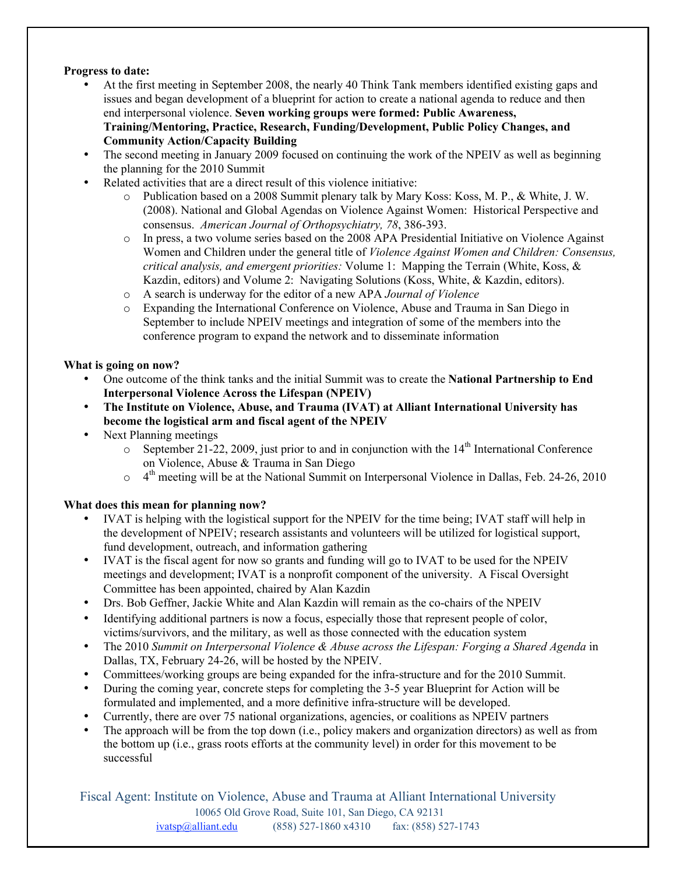#### **Progress to date:**

- At the first meeting in September 2008, the nearly 40 Think Tank members identified existing gaps and issues and began development of a blueprint for action to create a national agenda to reduce and then end interpersonal violence. **Seven working groups were formed: Public Awareness, Training/Mentoring, Practice, Research, Funding/Development, Public Policy Changes, and Community Action/Capacity Building**
- The second meeting in January 2009 focused on continuing the work of the NPEIV as well as beginning the planning for the 2010 Summit
- Related activities that are a direct result of this violence initiative:
	- o Publication based on a 2008 Summit plenary talk by Mary Koss: Koss, M. P., & White, J. W. (2008). National and Global Agendas on Violence Against Women: Historical Perspective and consensus. *American Journal of Orthopsychiatry, 78*, 386-393.
	- o In press, a two volume series based on the 2008 APA Presidential Initiative on Violence Against Women and Children under the general title of *Violence Against Women and Children: Consensus, critical analysis, and emergent priorities:* Volume 1: Mapping the Terrain (White, Koss, & Kazdin, editors) and Volume 2: Navigating Solutions (Koss, White, & Kazdin, editors).
	- o A search is underway for the editor of a new APA *Journal of Violence*
	- o Expanding the International Conference on Violence, Abuse and Trauma in San Diego in September to include NPEIV meetings and integration of some of the members into the conference program to expand the network and to disseminate information

#### **What is going on now?**

- One outcome of the think tanks and the initial Summit was to create the **National Partnership to End Interpersonal Violence Across the Lifespan (NPEIV)**
- **The Institute on Violence, Abuse, and Trauma (IVAT) at Alliant International University has become the logistical arm and fiscal agent of the NPEIV**
- Next Planning meetings
	- $\circ$  September 21-22, 2009, just prior to and in conjunction with the 14<sup>th</sup> International Conference on Violence, Abuse & Trauma in San Diego
	- $\circ$  4<sup>th</sup> meeting will be at the National Summit on Interpersonal Violence in Dallas, Feb. 24-26, 2010

#### **What does this mean for planning now?**

- IVAT is helping with the logistical support for the NPEIV for the time being; IVAT staff will help in the development of NPEIV; research assistants and volunteers will be utilized for logistical support, fund development, outreach, and information gathering
- IVAT is the fiscal agent for now so grants and funding will go to IVAT to be used for the NPEIV meetings and development; IVAT is a nonprofit component of the university. A Fiscal Oversight Committee has been appointed, chaired by Alan Kazdin
- Drs. Bob Geffner, Jackie White and Alan Kazdin will remain as the co-chairs of the NPEIV
- Identifying additional partners is now a focus, especially those that represent people of color, victims/survivors, and the military, as well as those connected with the education system
- The 2010 *Summit on Interpersonal Violence & Abuse across the Lifespan: Forging a Shared Agenda* in Dallas, TX, February 24-26, will be hosted by the NPEIV.
- Committees/working groups are being expanded for the infra-structure and for the 2010 Summit.
- During the coming year, concrete steps for completing the 3-5 year Blueprint for Action will be formulated and implemented, and a more definitive infra-structure will be developed.
- Currently, there are over 75 national organizations, agencies, or coalitions as NPEIV partners
- The approach will be from the top down (i.e., policy makers and organization directors) as well as from the bottom up (i.e., grass roots efforts at the community level) in order for this movement to be successful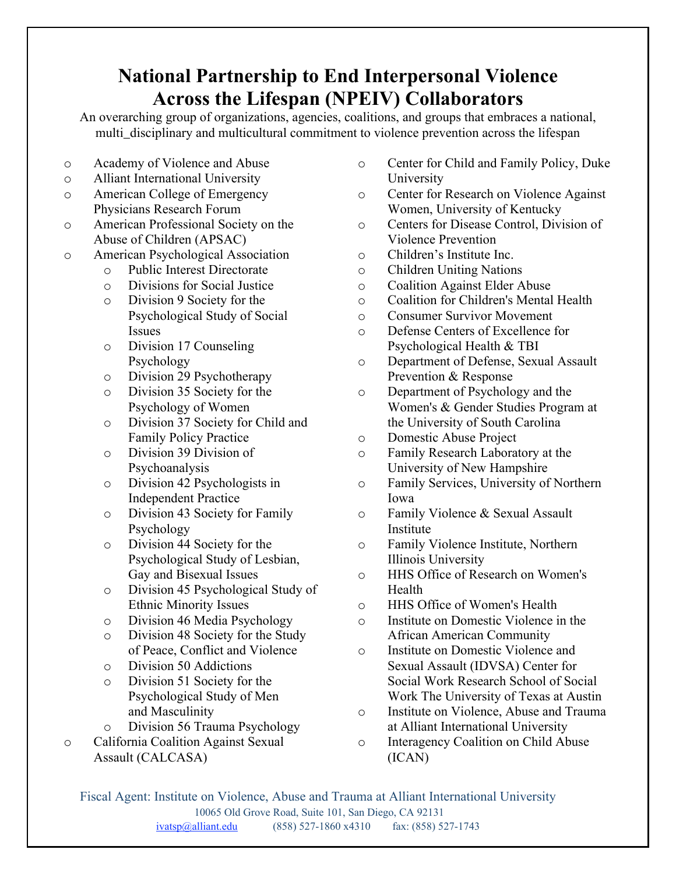## **National Partnership to End Interpersonal Violence Across the Lifespan (NPEIV) Collaborators**

An overarching group of organizations, agencies, coalitions, and groups that embraces a national, multi\_disciplinary and multicultural commitment to violence prevention across the lifespan

- o Academy of Violence and Abuse
- o Alliant International University
- o American College of Emergency Physicians Research Forum
- o American Professional Society on the Abuse of Children (APSAC)
- o American Psychological Association
	- o Public Interest Directorate
	- o Divisions for Social Justice
	- o Division 9 Society for the Psychological Study of Social Issues
	- o Division 17 Counseling Psychology
	- o Division 29 Psychotherapy
	- o Division 35 Society for the Psychology of Women
	- o Division 37 Society for Child and Family Policy Practice
	- o Division 39 Division of Psychoanalysis
	- o Division 42 Psychologists in Independent Practice
	- o Division 43 Society for Family Psychology
	- o Division 44 Society for the Psychological Study of Lesbian, Gay and Bisexual Issues
	- o Division 45 Psychological Study of Ethnic Minority Issues
	- o Division 46 Media Psychology
	- o Division 48 Society for the Study of Peace, Conflict and Violence
	- o Division 50 Addictions
	- o Division 51 Society for the Psychological Study of Men and Masculinity
	- o Division 56 Trauma Psychology
- o California Coalition Against Sexual Assault (CALCASA)
- o Center for Child and Family Policy, Duke University
- o Center for Research on Violence Against Women, University of Kentucky
- o Centers for Disease Control, Division of Violence Prevention
- o Children's Institute Inc.
- o Children Uniting Nations
- o Coalition Against Elder Abuse
- o Coalition for Children's Mental Health
- o Consumer Survivor Movement
- o Defense Centers of Excellence for Psychological Health & TBI
- o Department of Defense, Sexual Assault Prevention & Response
- o Department of Psychology and the Women's & Gender Studies Program at the University of South Carolina
- o Domestic Abuse Project
- o Family Research Laboratory at the University of New Hampshire
- o Family Services, University of Northern Iowa
- o Family Violence & Sexual Assault Institute
- o Family Violence Institute, Northern Illinois University
- o HHS Office of Research on Women's Health
- o HHS Office of Women's Health
- o Institute on Domestic Violence in the African American Community
- o Institute on Domestic Violence and Sexual Assault (IDVSA) Center for Social Work Research School of Social Work The University of Texas at Austin
- o Institute on Violence, Abuse and Trauma at Alliant International University
- o Interagency Coalition on Child Abuse (ICAN)